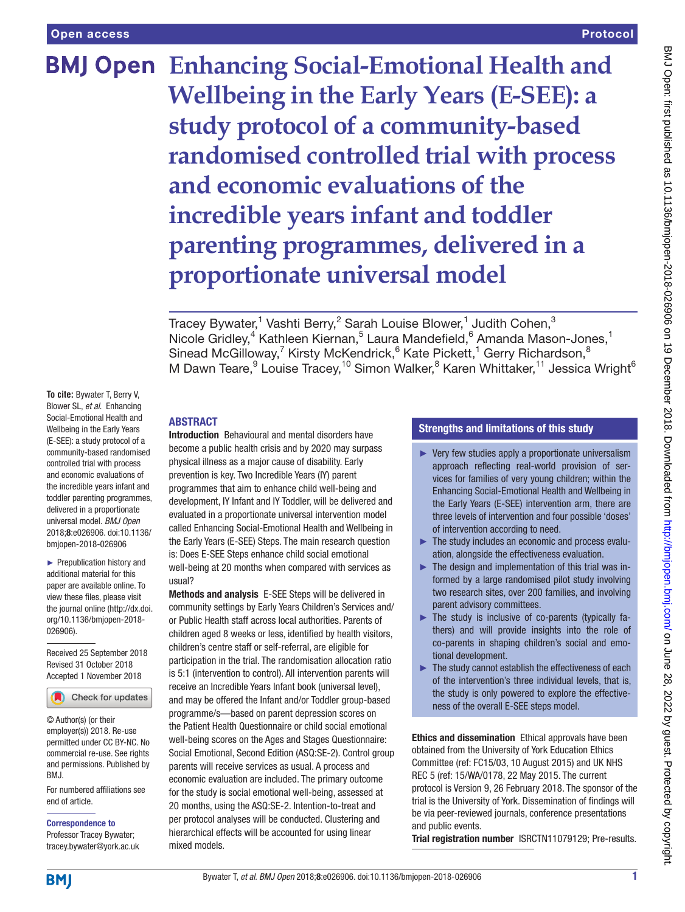# **BMJ Open Enhancing Social-Emotional Health and Wellbeing in the Early Years (E-SEE): a study protocol of a community-based randomised controlled trial with process and economic evaluations of the incredible years infant and toddler parenting programmes, delivered in a proportionate universal model**

Tracey Bywater,<sup>1</sup> Vashti Berry,<sup>2</sup> Sarah Louise Blower,<sup>1</sup> Judith Cohen,<sup>3</sup> Nicole Gridley,<sup>4</sup> Kathleen Kiernan,<sup>5</sup> Laura Mandefield,<sup>6</sup> Amanda Mason-Jones,<sup>1</sup> Sinead McGilloway,<sup>7</sup> Kirsty McKendrick,<sup>6</sup> Kate Pickett,<sup>1</sup> Gerry Richardson,<sup>8</sup> M Dawn Teare,<sup>9</sup> Louise Tracey,<sup>10</sup> Simon Walker,<sup>8</sup> Karen Whittaker,<sup>11</sup> Jessica Wright<sup>6</sup>

**To cite:** Bywater T, Berry V, Blower SL, *et al*. Enhancing Social-Emotional Health and Wellbeing in the Early Years (E-SEE): a study protocol of a community-based randomised controlled trial with process and economic evaluations of the incredible years infant and toddler parenting programmes, delivered in a proportionate universal model. *BMJ Open* 2018;8:e026906. doi:10.1136/ bmjopen-2018-026906

► Prepublication history and additional material for this paper are available online. To view these files, please visit the journal online [\(http://dx.doi.](http://dx.doi.org/10.1136/bmjopen-2018-026906) [org/10.1136/bmjopen-2018-](http://dx.doi.org/10.1136/bmjopen-2018-026906) [026906\)](http://dx.doi.org/10.1136/bmjopen-2018-026906).

Received 25 September 2018 Revised 31 October 2018 Accepted 1 November 2018



© Author(s) (or their employer(s)) 2018. Re-use permitted under CC BY-NC. No commercial re-use. See rights and permissions. Published by BMJ.

For numbered affiliations see end of article.

Correspondence to

Professor Tracey Bywater; tracey.bywater@york.ac.uk

## **ABSTRACT**

Introduction Behavioural and mental disorders have become a public health crisis and by 2020 may surpass physical illness as a major cause of disability. Early prevention is key. Two Incredible Years (IY) parent programmes that aim to enhance child well-being and development, IY Infant and IY Toddler, will be delivered and evaluated in a proportionate universal intervention model called Enhancing Social-Emotional Health and Wellbeing in the Early Years (E-SEE) Steps. The main research question is: Does E-SEE Steps enhance child social emotional well-being at 20 months when compared with services as usual?

Methods and analysis E-SEE Steps will be delivered in community settings by Early Years Children's Services and/ or Public Health staff across local authorities. Parents of children aged 8 weeks or less, identified by health visitors, children's centre staff or self-referral, are eligible for participation in the trial. The randomisation allocation ratio is 5:1 (intervention to control). All intervention parents will receive an Incredible Years Infant book (universal level), and may be offered the Infant and/or Toddler group-based programme/s—based on parent depression scores on the Patient Health Questionnaire or child social emotional well-being scores on the Ages and Stages Questionnaire: Social Emotional, Second Edition (ASQ:SE-2). Control group parents will receive services as usual. A process and economic evaluation are included. The primary outcome for the study is social emotional well-being, assessed at 20 months, using the ASQ:SE-2. Intention-to-treat and per protocol analyses will be conducted. Clustering and hierarchical effects will be accounted for using linear mixed models.

#### Strengths and limitations of this study

- ► Very few studies apply a proportionate universalism approach reflecting real-world provision of services for families of very young children; within the Enhancing Social-Emotional Health and Wellbeing in the Early Years (E-SEE) intervention arm, there are three levels of intervention and four possible 'doses' of intervention according to need.
- ► The study includes an economic and process evaluation, alongside the effectiveness evaluation.
- $\blacktriangleright$  The design and implementation of this trial was informed by a large randomised pilot study involving two research sites, over 200 families, and involving parent advisory committees.
- ► The study is inclusive of co-parents (typically fathers) and will provide insights into the role of co-parents in shaping children's social and emotional development.
- $\blacktriangleright$  The study cannot establish the effectiveness of each of the intervention's three individual levels, that is, the study is only powered to explore the effectiveness of the overall E-SEE steps model.

Ethics and dissemination Ethical approvals have been obtained from the University of York Education Ethics Committee (ref: FC15/03, 10 August 2015) and UK NHS REC 5 (ref: 15/WA/0178, 22 May 2015. The current protocol is Version 9, 26 February 2018. The sponsor of the trial is the University of York. Dissemination of findings will be via peer-reviewed journals, conference presentations and public events.

Trial registration number [ISRCTN11079129;](ISRCTN11079129) Pre-results.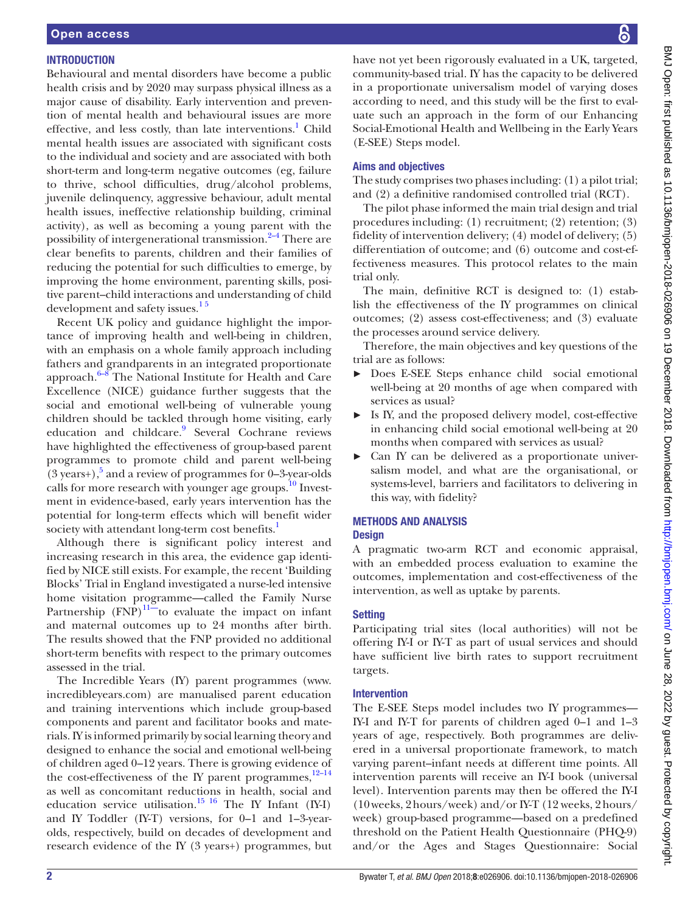#### **INTRODUCTION**

Behavioural and mental disorders have become a public health crisis and by 2020 may surpass physical illness as a major cause of disability. Early intervention and prevention of mental health and behavioural issues are more effective, and less costly, than late interventions.<sup>[1](#page-8-0)</sup> Child mental health issues are associated with significant costs to the individual and society and are associated with both short-term and long-term negative outcomes (eg, failure to thrive, school difficulties, drug/alcohol problems, juvenile delinquency, aggressive behaviour, adult mental health issues, ineffective relationship building, criminal activity), as well as becoming a young parent with the possibility of intergenerational transmission.<sup>2-4</sup> There are clear benefits to parents, children and their families of reducing the potential for such difficulties to emerge, by improving the home environment, parenting skills, positive parent–child interactions and understanding of child development and safety issues.<sup>15</sup>

Recent UK policy and guidance highlight the importance of improving health and well-being in children, with an emphasis on a whole family approach including fathers and grandparents in an integrated proportionate approach.[6–8](#page-8-2) The National Institute for Health and Care Excellence (NICE) guidance further suggests that the social and emotional well-being of vulnerable young children should be tackled through home visiting, early education and childcare.<sup>9</sup> Several Cochrane reviews have highlighted the effectiveness of group-based parent programmes to promote child and parent well-being  $(3 \text{ years+}),$ <sup>5</sup> and a review of programmes for 0-3-year-olds calls for more research with younger age groups.<sup>10</sup> Investment in evidence-based, early years intervention has the potential for long-term effects which will benefit wider society with attendant long-term cost benefits.<sup>[1](#page-8-0)</sup>

Although there is significant policy interest and increasing research in this area, the evidence gap identified by NICE still exists. For example, the recent 'Building Blocks' Trial in England investigated a nurse-led intensive home visitation programme—called the Family Nurse Partnership  $(FNP)^{11}$  to evaluate the impact on infant and maternal outcomes up to 24 months after birth. The results showed that the FNP provided no additional short-term benefits with respect to the primary outcomes assessed in the trial.

The Incredible Years (IY) parent programmes [\(www.](www.incredibleyears.com) [incredibleyears.com\)](www.incredibleyears.com) are manualised parent education and training interventions which include group-based components and parent and facilitator books and materials. IY is informed primarily by social learning theory and designed to enhance the social and emotional well-being of children aged 0–12 years. There is growing evidence of the cost-effectiveness of the IY parent programmes, $12-14$ as well as concomitant reductions in health, social and education service utilisation.<sup>15 16</sup> The IY Infant (IY-I) and IY Toddler (IY-T) versions, for 0–1 and 1–3-yearolds, respectively, build on decades of development and research evidence of the IY (3 years+) programmes, but

have not yet been rigorously evaluated in a UK, targeted, community-based trial. IY has the capacity to be delivered in a proportionate universalism model of varying doses according to need, and this study will be the first to evaluate such an approach in the form of our Enhancing Social-Emotional Health and Wellbeing in the Early Years (E-SEE) Steps model.

#### Aims and objectives

The study comprises two phases including: (1) a pilot trial; and (2) a definitive randomised controlled trial (RCT).

The pilot phase informed the main trial design and trial procedures including: (1) recruitment; (2) retention; (3) fidelity of intervention delivery; (4) model of delivery; (5) differentiation of outcome; and (6) outcome and cost-effectiveness measures. This protocol relates to the main trial only.

The main, definitive RCT is designed to: (1) establish the effectiveness of the IY programmes on clinical outcomes; (2) assess cost-effectiveness; and (3) evaluate the processes around service delivery.

Therefore, the main objectives and key questions of the trial are as follows:

- ► Does E-SEE Steps enhance child social emotional well-being at 20 months of age when compared with services as usual?
- ► Is IY, and the proposed delivery model, cost-effective in enhancing child social emotional well-being at 20 months when compared with services as usual?
- ► Can IY can be delivered as a proportionate universalism model, and what are the organisational, or systems-level, barriers and facilitators to delivering in this way, with fidelity?

# Methods and analysis

## **Design**

A pragmatic two-arm RCT and economic appraisal, with an embedded process evaluation to examine the outcomes, implementation and cost-effectiveness of the intervention, as well as uptake by parents.

#### **Setting**

Participating trial sites (local authorities) will not be offering IY-I or IY-T as part of usual services and should have sufficient live birth rates to support recruitment targets.

#### Intervention

The E-SEE Steps model includes two IY programmes— IY-I and IY-T for parents of children aged 0–1 and 1–3 years of age, respectively. Both programmes are delivered in a universal proportionate framework, to match varying parent–infant needs at different time points. All intervention parents will receive an IY-I book (universal level). Intervention parents may then be offered the IY-I (10weeks, 2hours/week) and/or IY-T (12 weeks, 2hours/ week) group-based programme—based on a predefined threshold on the Patient Health Questionnaire (PHQ-9) and/or the Ages and Stages Questionnaire: Social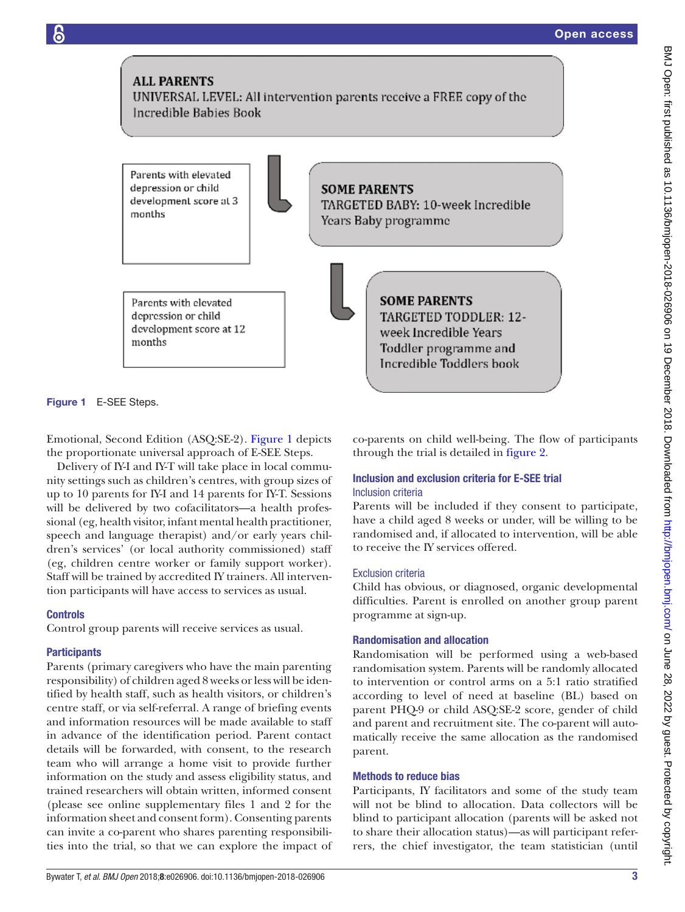

<span id="page-2-0"></span>Figure 1 E-SEE Steps.

Emotional, Second Edition (ASQ:SE-2). [Figure](#page-2-0) 1 depicts the proportionate universal approach of E-SEE Steps.

Delivery of IY-I and IY-T will take place in local community settings such as children's centres, with group sizes of up to 10 parents for IY-I and 14 parents for IY-T. Sessions will be delivered by two cofacilitators—a health professional (eg, health visitor, infant mental health practitioner, speech and language therapist) and/or early years children's services' (or local authority commissioned) staff (eg, children centre worker or family support worker). Staff will be trained by accredited IY trainers. All intervention participants will have access to services as usual.

#### **Controls**

Control group parents will receive services as usual.

#### **Participants**

Parents (primary caregivers who have the main parenting responsibility) of children aged 8 weeks or less will be identified by health staff, such as health visitors, or children's centre staff, or via self-referral. A range of briefing events and information resources will be made available to staff in advance of the identification period. Parent contact details will be forwarded, with consent, to the research team who will arrange a home visit to provide further information on the study and assess eligibility status, and trained researchers will obtain written, informed consent (please see online [supplementary files 1 and 2](https://dx.doi.org/10.1136/bmjopen-2018-026906) for the information sheet and consent form). Consenting parents can invite a co-parent who shares parenting responsibilities into the trial, so that we can explore the impact of co-parents on child well-being. The flow of participants through the trial is detailed in [figure](#page-3-0) 2.

#### Inclusion and exclusion criteria for E-SEE trial Inclusion criteria

Parents will be included if they consent to participate, have a child aged 8 weeks or under, will be willing to be randomised and, if allocated to intervention, will be able to receive the IY services offered.

#### Exclusion criteria

Child has obvious, or diagnosed, organic developmental difficulties. Parent is enrolled on another group parent programme at sign-up.

#### Randomisation and allocation

Randomisation will be performed using a web-based randomisation system. Parents will be randomly allocated to intervention or control arms on a 5:1 ratio stratified according to level of need at baseline (BL) based on parent PHQ-9 or child ASQ:SE-2 score, gender of child and parent and recruitment site. The co-parent will automatically receive the same allocation as the randomised parent.

#### Methods to reduce bias

Participants, IY facilitators and some of the study team will not be blind to allocation. Data collectors will be blind to participant allocation (parents will be asked not to share their allocation status)—as will participant referrers, the chief investigator, the team statistician (until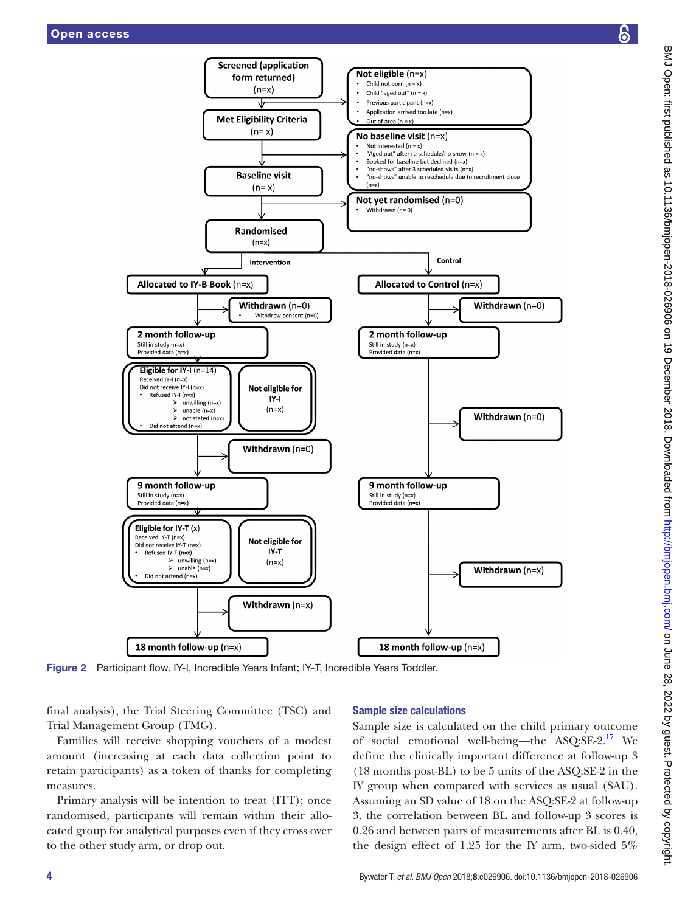

Figure 2 Participant flow. IY-I, Incredible Years Infant; IY-T, Incredible Years Toddler.

Withdrawn  $(n=x)$ 

final analysis), the Trial Steering Committee (TSC) and Trial Management Group (TMG).

<span id="page-3-0"></span>18 month follow-up (n=x)

Did not attend (n=x)

Families will receive shopping vouchers of a modest amount (increasing at each data collection point to retain participants) as a token of thanks for completing measures.

Primary analysis will be intention to treat (ITT); once randomised, participants will remain within their allocated group for analytical purposes even if they cross over to the other study arm, or drop out.

#### Sample size calculations

18 month follow-up (n=x)

Sample size is calculated on the child primary outcome of social emotional well-being—the ASQ:SE-2.[17](#page-8-9) We define the clinically important difference at follow-up 3 (18 months post-BL) to be 5 units of the ASQ:SE-2 in the IY group when compared with services as usual (SAU). Assuming an SD value of 18 on the ASQ:SE-2 at follow-up 3, the correlation between BL and follow-up 3 scores is 0.26 and between pairs of measurements after BL is 0.40, the design effect of 1.25 for the IY arm, two-sided 5%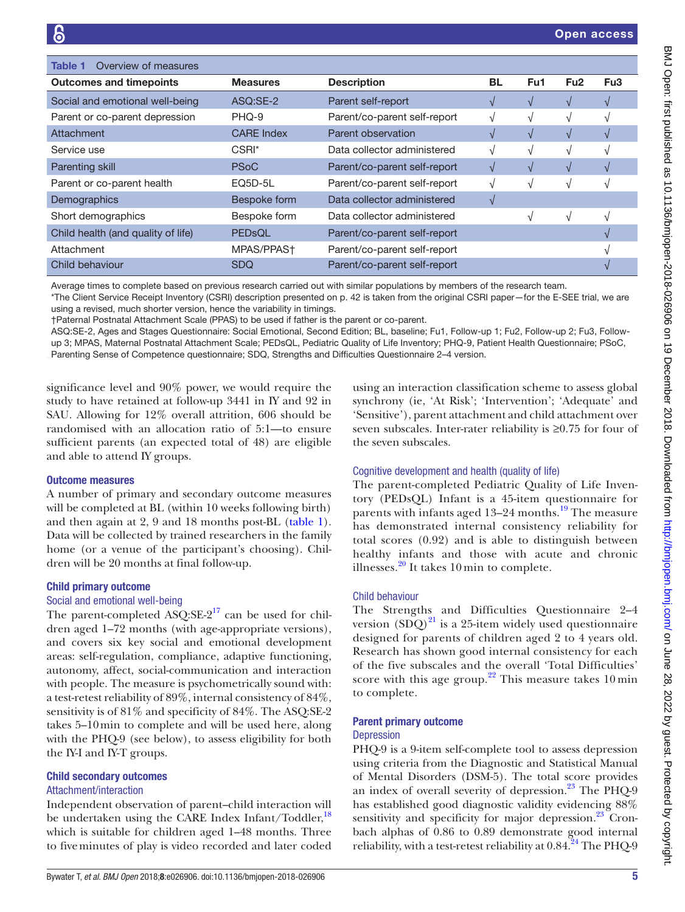<span id="page-4-0"></span>

| Overview of measures<br>Table 1    |                   |                              |               |               |                 |                 |
|------------------------------------|-------------------|------------------------------|---------------|---------------|-----------------|-----------------|
| <b>Outcomes and timepoints</b>     | <b>Measures</b>   | <b>Description</b>           | <b>BL</b>     | Fu1           | Fu <sub>2</sub> | Fu <sub>3</sub> |
| Social and emotional well-being    | ASQ:SE-2          | Parent self-report           | $\sqrt{ }$    |               | $\sqrt{ }$      |                 |
| Parent or co-parent depression     | PHQ-9             | Parent/co-parent self-report | V             |               | V               |                 |
| Attachment                         | <b>CARE</b> Index | Parent observation           | $\mathcal{N}$ |               | $\sqrt{ }$      |                 |
| Service use                        | CSRI*             | Data collector administered  | V             |               | N               |                 |
| Parenting skill                    | <b>PSoC</b>       | Parent/co-parent self-report | $\sqrt{ }$    | $\mathcal{N}$ | $\sqrt{ }$      |                 |
| Parent or co-parent health         | EQ5D-5L           | Parent/co-parent self-report | V             |               | N               |                 |
| Demographics                       | Bespoke form      | Data collector administered  | V             |               |                 |                 |
| Short demographics                 | Bespoke form      | Data collector administered  |               |               | 1               |                 |
| Child health (and quality of life) | PEDsQL            | Parent/co-parent self-report |               |               |                 |                 |
| Attachment                         | MPAS/PPAS+        | Parent/co-parent self-report |               |               |                 |                 |
| Child behaviour                    | <b>SDQ</b>        | Parent/co-parent self-report |               |               |                 |                 |

Average times to complete based on previous research carried out with similar populations by members of the research team.

\*The Client Service Receipt Inventory (CSRI) description presented on p. 42 is taken from the original CSRI paper—for the E-SEE trial, we are

using a revised, much shorter version, hence the variability in timings.

†Paternal Postnatal Attachment Scale (PPAS) to be used if father is the parent or co-parent.

ASQ:SE-2, Ages and Stages Questionnaire: Social Emotional, Second Edition; BL, baseline; Fu1, Follow-up 1; Fu2, Follow-up 2; Fu3, Followup 3; MPAS, Maternal Postnatal Attachment Scale; PEDsQL, Pediatric Quality of Life Inventory; PHQ-9, Patient Health Questionnaire; PSoC, Parenting Sense of Competence questionnaire; SDQ, Strengths and Difficulties Questionnaire 2–4 version.

significance level and 90% power, we would require the study to have retained at follow-up 3441 in IY and 92 in SAU. Allowing for 12% overall attrition, 606 should be randomised with an allocation ratio of 5:1—to ensure sufficient parents (an expected total of 48) are eligible and able to attend IY groups.

#### Outcome measures

A number of primary and secondary outcome measures will be completed at BL (within 10 weeks following birth) and then again at 2, 9 and 18 months post-BL ([table](#page-4-0) 1). Data will be collected by trained researchers in the family home (or a venue of the participant's choosing). Children will be 20 months at final follow-up.

#### Child primary outcome

#### Social and emotional well-being

The parent-completed ASQ: $SE-2^{17}$  can be used for children aged 1–72 months (with age-appropriate versions), and covers six key social and emotional development areas: self-regulation, compliance, adaptive functioning, autonomy, affect, social-communication and interaction with people. The measure is psychometrically sound with: a test-retest reliability of 89%, internal consistency of 84%, sensitivity is of 81% and specificity of 84%. The ASQ:SE-2 takes 5–10min to complete and will be used here, along with the PHQ-9 (see below), to assess eligibility for both the IY-I and IY-T groups.

#### Child secondary outcomes

#### Attachment/interaction

Independent observation of parent–child interaction will be undertaken using the CARE Index Infant/Toddler,<sup>[18](#page-8-10)</sup> which is suitable for children aged 1–48 months. Three to fiveminutes of play is video recorded and later coded using an interaction classification scheme to assess global synchrony (ie, 'At Risk'; 'Intervention'; 'Adequate' and 'Sensitive'), parent attachment and child attachment over seven subscales. Inter-rater reliability is ≥0.75 for four of the seven subscales.

#### Cognitive development and health (quality of life)

The parent-completed Pediatric Quality of Life Inventory (PEDsQL) Infant is a 45-item questionnaire for parents with infants aged 13–24 months.<sup>[19](#page-8-11)</sup> The measure has demonstrated internal consistency reliability for total scores (0.92) and is able to distinguish between healthy infants and those with acute and chronic illnesses.<sup>[20](#page-8-12)</sup> It takes 10 min to complete.

#### Child behaviour

The Strengths and Difficulties Questionnaire 2–4 version  $(SDQ)^{21}$  is a 25-item widely used questionnaire designed for parents of children aged 2 to 4 years old. Research has shown good internal consistency for each of the five subscales and the overall 'Total Difficulties' score with this age group.<sup>22</sup> This measure takes  $10 \text{min}$ to complete.

#### Parent primary outcome

#### Depression

PHQ-9 is a 9-item self-complete tool to assess depression using criteria from the Diagnostic and Statistical Manual of Mental Disorders (DSM-5). The total score provides an index of overall severity of depression. $^{23}$  The PHQ-9 has established good diagnostic validity evidencing 88% sensitivity and specificity for major depression.<sup>[23](#page-9-2)</sup> Cronbach alphas of 0.86 to 0.89 demonstrate good internal reliability, with a test-retest reliability at  $0.84.^{24}$  The PHQ-9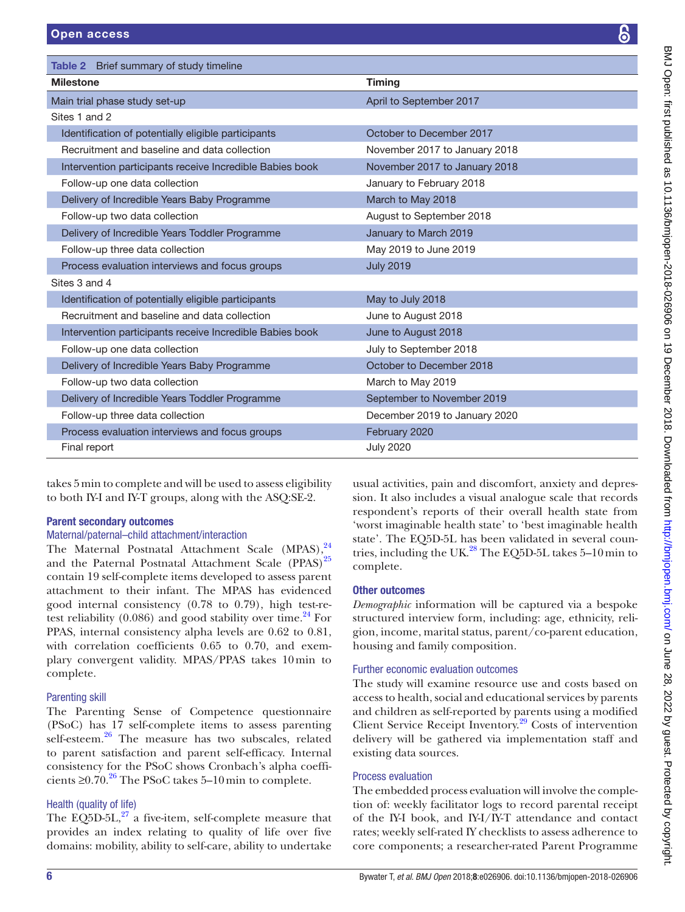<span id="page-5-0"></span>Table 2 Brief summary of study timeline

| <b>Milestone</b>                                         | <b>Timing</b>                 |  |  |
|----------------------------------------------------------|-------------------------------|--|--|
| Main trial phase study set-up                            | April to September 2017       |  |  |
| Sites 1 and 2                                            |                               |  |  |
| Identification of potentially eligible participants      | October to December 2017      |  |  |
| Recruitment and baseline and data collection             | November 2017 to January 2018 |  |  |
| Intervention participants receive Incredible Babies book | November 2017 to January 2018 |  |  |
| Follow-up one data collection                            | January to February 2018      |  |  |
| Delivery of Incredible Years Baby Programme              | March to May 2018             |  |  |
| Follow-up two data collection                            | August to September 2018      |  |  |
| Delivery of Incredible Years Toddler Programme           | January to March 2019         |  |  |
| Follow-up three data collection                          | May 2019 to June 2019         |  |  |
| Process evaluation interviews and focus groups           | <b>July 2019</b>              |  |  |
| Sites 3 and 4                                            |                               |  |  |
| Identification of potentially eligible participants      | May to July 2018              |  |  |
| Recruitment and baseline and data collection             | June to August 2018           |  |  |
| Intervention participants receive Incredible Babies book | June to August 2018           |  |  |
| Follow-up one data collection                            | July to September 2018        |  |  |
| Delivery of Incredible Years Baby Programme              | October to December 2018      |  |  |
| Follow-up two data collection                            | March to May 2019             |  |  |
| Delivery of Incredible Years Toddler Programme           | September to November 2019    |  |  |
| Follow-up three data collection                          | December 2019 to January 2020 |  |  |
| Process evaluation interviews and focus groups           | February 2020                 |  |  |
| Final report                                             | <b>July 2020</b>              |  |  |

takes 5min to complete and will be used to assess eligibility to both IY-I and IY-T groups, along with the ASQ:SE-2.

# Parent secondary outcomes

### Maternal/paternal–child attachment/interaction

The Maternal Postnatal Attachment Scale (MPAS),<sup>24</sup> and the Paternal Postnatal Attachment Scale (PPAS)<sup>25</sup> contain 19 self-complete items developed to assess parent attachment to their infant. The MPAS has evidenced good internal consistency (0.78 to 0.79), high test-retest reliability (0.086) and good stability over time. $^{24}$  For PPAS, internal consistency alpha levels are 0.62 to 0.81, with correlation coefficients 0.65 to 0.70, and exemplary convergent validity. MPAS/PPAS takes 10min to complete.

# Parenting skill

The Parenting Sense of Competence questionnaire (PSoC) has 17 self-complete items to assess parenting self-esteem.<sup>[26](#page-9-5)</sup> The measure has two subscales, related to parent satisfaction and parent self-efficacy. Internal consistency for the PSoC shows Cronbach's alpha coefficients  $\geq 0.70$ .<sup>[26](#page-9-5)</sup> The PSoC takes 5–10 min to complete.

# Health (quality of life)

The EQ5D-5L, $^{27}$  a five-item, self-complete measure that provides an index relating to quality of life over five domains: mobility, ability to self-care, ability to undertake usual activities, pain and discomfort, anxiety and depression. It also includes a visual analogue scale that records respondent's reports of their overall health state from 'worst imaginable health state' to 'best imaginable health state'. The EQ5D-5L has been validated in several countries, including the UK. $^{28}$  $^{28}$  $^{28}$  The EQ5D-5L takes 5–10 min to complete.

# Other outcomes

*Demographic* information will be captured via a bespoke structured interview form, including: age, ethnicity, religion, income, marital status, parent/co-parent education, housing and family composition.

# Further economic evaluation outcomes

The study will examine resource use and costs based on access to health, social and educational services by parents and children as self-reported by parents using a modified Client Service Receipt Inventory.<sup>29</sup> Costs of intervention delivery will be gathered via implementation staff and existing data sources.

# Process evaluation

The embedded process evaluation will involve the completion of: weekly facilitator logs to record parental receipt of the IY-I book, and IY-I/IY-T attendance and contact rates; weekly self-rated IY checklists to assess adherence to core components; a researcher-rated Parent Programme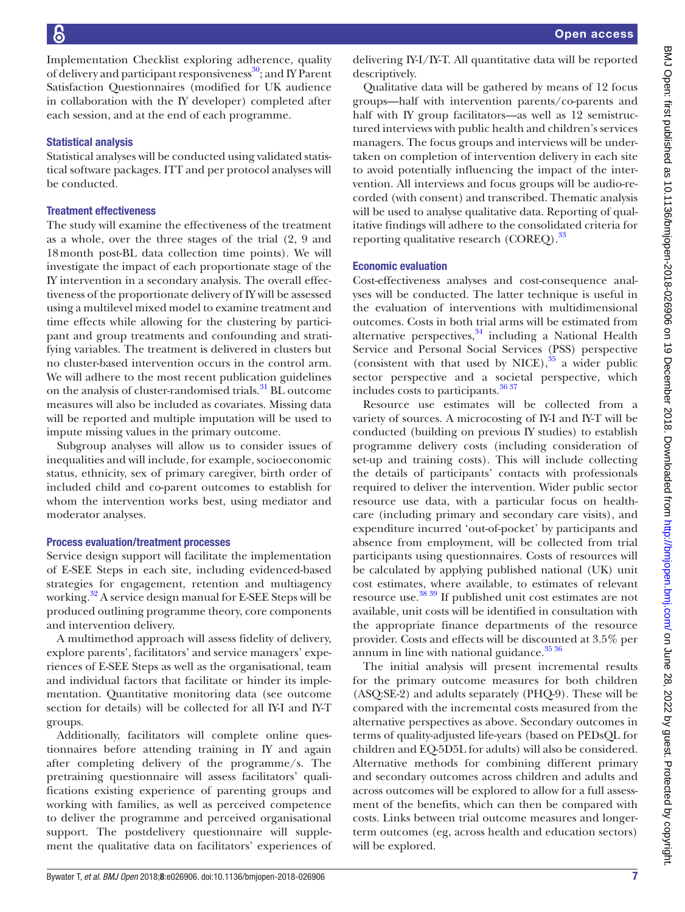Implementation Checklist exploring adherence, quality of delivery and participant responsiveness<sup>30</sup>; and IY Parent Satisfaction Questionnaires (modified for UK audience in collaboration with the IY developer) completed after each session, and at the end of each programme.

#### Statistical analysis

Statistical analyses will be conducted using validated statistical software packages. ITT and per protocol analyses will be conducted.

#### Treatment effectiveness

The study will examine the effectiveness of the treatment as a whole, over the three stages of the trial (2, 9 and 18month post-BL data collection time points). We will investigate the impact of each proportionate stage of the IY intervention in a secondary analysis. The overall effectiveness of the proportionate delivery of IY will be assessed using a multilevel mixed model to examine treatment and time effects while allowing for the clustering by participant and group treatments and confounding and stratifying variables. The treatment is delivered in clusters but no cluster-based intervention occurs in the control arm. We will adhere to the most recent publication guidelines on the analysis of cluster-randomised trials.<sup>31</sup> BL outcome measures will also be included as covariates. Missing data will be reported and multiple imputation will be used to impute missing values in the primary outcome.

Subgroup analyses will allow us to consider issues of inequalities and will include, for example, socioeconomic status, ethnicity, sex of primary caregiver, birth order of included child and co-parent outcomes to establish for whom the intervention works best, using mediator and moderator analyses.

#### Process evaluation/treatment processes

Service design support will facilitate the implementation of E-SEE Steps in each site, including evidenced-based strategies for engagement, retention and multiagency working.<sup>[32](#page-9-11)</sup> A service design manual for E-SEE Steps will be produced outlining programme theory, core components and intervention delivery.

A multimethod approach will assess fidelity of delivery, explore parents', facilitators' and service managers' experiences of E-SEE Steps as well as the organisational, team and individual factors that facilitate or hinder its implementation. Quantitative monitoring data (see outcome section for details) will be collected for all IY-I and IY-T groups.

Additionally, facilitators will complete online questionnaires before attending training in IY and again after completing delivery of the programme/s. The pretraining questionnaire will assess facilitators' qualifications existing experience of parenting groups and working with families, as well as perceived competence to deliver the programme and perceived organisational support. The postdelivery questionnaire will supplement the qualitative data on facilitators' experiences of delivering IY-I/IY-T. All quantitative data will be reported descriptively.

Qualitative data will be gathered by means of 12 focus groups—half with intervention parents/co-parents and half with IY group facilitators—as well as 12 semistructured interviews with public health and children's services managers. The focus groups and interviews will be undertaken on completion of intervention delivery in each site to avoid potentially influencing the impact of the intervention. All interviews and focus groups will be audio-recorded (with consent) and transcribed. Thematic analysis will be used to analyse qualitative data. Reporting of qualitative findings will adhere to the consolidated criteria for reporting qualitative research (COREQ).<sup>33</sup>

#### Economic evaluation

Cost-effectiveness analyses and cost-consequence analyses will be conducted. The latter technique is useful in the evaluation of interventions with multidimensional outcomes. Costs in both trial arms will be estimated from alternative perspectives, $34$  including a National Health Service and Personal Social Services (PSS) perspective (consistent with that used by NICE), $35$  a wider public sector perspective and a societal perspective, which includes costs to participants[.36 37](#page-9-15)

Resource use estimates will be collected from a variety of sources. A microcosting of IY-I and IY-T will be conducted (building on previous IY studies) to establish programme delivery costs (including consideration of set-up and training costs). This will include collecting the details of participants' contacts with professionals required to deliver the intervention. Wider public sector resource use data, with a particular focus on healthcare (including primary and secondary care visits), and expenditure incurred 'out-of-pocket' by participants and absence from employment, will be collected from trial participants using questionnaires. Costs of resources will be calculated by applying published national (UK) unit cost estimates, where available, to estimates of relevant resource use.<sup>38</sup> 39 If published unit cost estimates are not available, unit costs will be identified in consultation with the appropriate finance departments of the resource provider. Costs and effects will be discounted at 3.5% per annum in line with national guidance.<sup>35 36</sup>

The initial analysis will present incremental results for the primary outcome measures for both children (ASQ:SE-2) and adults separately (PHQ-9). These will be compared with the incremental costs measured from the alternative perspectives as above. Secondary outcomes in terms of quality-adjusted life-years (based on PEDsQL for children and EQ-5D5L for adults) will also be considered. Alternative methods for combining different primary and secondary outcomes across children and adults and across outcomes will be explored to allow for a full assessment of the benefits, which can then be compared with costs. Links between trial outcome measures and longerterm outcomes (eg, across health and education sectors) will be explored.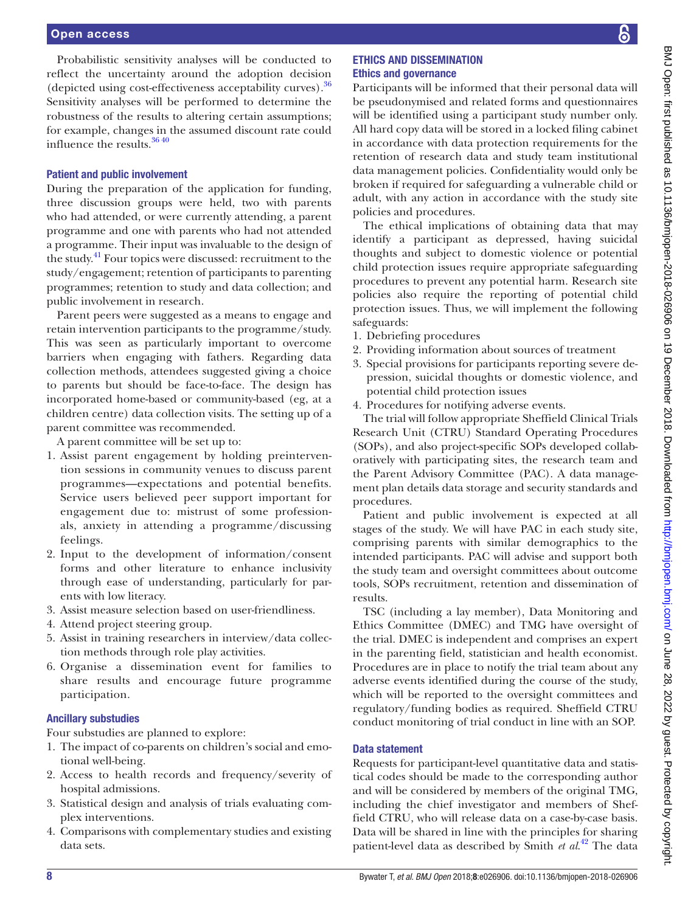Probabilistic sensitivity analyses will be conducted to reflect the uncertainty around the adoption decision (depicted using cost-effectiveness acceptability curves)[.36](#page-9-15) Sensitivity analyses will be performed to determine the robustness of the results to altering certain assumptions; for example, changes in the assumed discount rate could influence the results.[36 40](#page-9-15)

#### Patient and public involvement

During the preparation of the application for funding, three discussion groups were held, two with parents who had attended, or were currently attending, a parent programme and one with parents who had not attended a programme. Their input was invaluable to the design of the study.<sup>41</sup> Four topics were discussed: recruitment to the study/engagement; retention of participants to parenting programmes; retention to study and data collection; and public involvement in research.

Parent peers were suggested as a means to engage and retain intervention participants to the programme/study. This was seen as particularly important to overcome barriers when engaging with fathers. Regarding data collection methods, attendees suggested giving a choice to parents but should be face-to-face. The design has incorporated home-based or community-based (eg, at a children centre) data collection visits. The setting up of a parent committee was recommended.

A parent committee will be set up to:

- 1. Assist parent engagement by holding preintervention sessions in community venues to discuss parent programmes—expectations and potential benefits. Service users believed peer support important for engagement due to: mistrust of some professionals, anxiety in attending a programme/discussing feelings.
- 2. Input to the development of information/consent forms and other literature to enhance inclusivity through ease of understanding, particularly for parents with low literacy.
- 3. Assist measure selection based on user-friendliness.
- 4. Attend project steering group.
- 5. Assist in training researchers in interview/data collection methods through role play activities.
- 6. Organise a dissemination event for families to share results and encourage future programme participation.

#### Ancillary substudies

Four substudies are planned to explore:

- 1. The impact of co-parents on children's social and emotional well-being.
- 2. Access to health records and frequency/severity of hospital admissions.
- 3. Statistical design and analysis of trials evaluating complex interventions.
- 4. Comparisons with complementary studies and existing data sets.

#### Ethics and dissemination Ethics and governance

Participants will be informed that their personal data will be pseudonymised and related forms and questionnaires will be identified using a participant study number only. All hard copy data will be stored in a locked filing cabinet in accordance with data protection requirements for the retention of research data and study team institutional data management policies. Confidentiality would only be broken if required for safeguarding a vulnerable child or adult, with any action in accordance with the study site policies and procedures.

The ethical implications of obtaining data that may identify a participant as depressed, having suicidal thoughts and subject to domestic violence or potential child protection issues require appropriate safeguarding procedures to prevent any potential harm. Research site policies also require the reporting of potential child protection issues. Thus, we will implement the following safeguards:

- 1. Debriefing procedures
- 2. Providing information about sources of treatment
- 3. Special provisions for participants reporting severe depression, suicidal thoughts or domestic violence, and potential child protection issues
- 4. Procedures for notifying adverse events.

The trial will follow appropriate Sheffield Clinical Trials Research Unit (CTRU) Standard Operating Procedures (SOPs), and also project-specific SOPs developed collaboratively with participating sites, the research team and the Parent Advisory Committee (PAC). A data management plan details data storage and security standards and procedures.

Patient and public involvement is expected at all stages of the study. We will have PAC in each study site, comprising parents with similar demographics to the intended participants. PAC will advise and support both the study team and oversight committees about outcome tools, SOPs recruitment, retention and dissemination of results.

TSC (including a lay member), Data Monitoring and Ethics Committee (DMEC) and TMG have oversight of the trial. DMEC is independent and comprises an expert in the parenting field, statistician and health economist. Procedures are in place to notify the trial team about any adverse events identified during the course of the study, which will be reported to the oversight committees and regulatory/funding bodies as required. Sheffield CTRU conduct monitoring of trial conduct in line with an SOP.

#### Data statement

Requests for participant-level quantitative data and statistical codes should be made to the corresponding author and will be considered by members of the original TMG, including the chief investigator and members of Sheffield CTRU, who will release data on a case-by-case basis. Data will be shared in line with the principles for sharing patient-level data as described by Smith *et al*. [42](#page-9-18) The data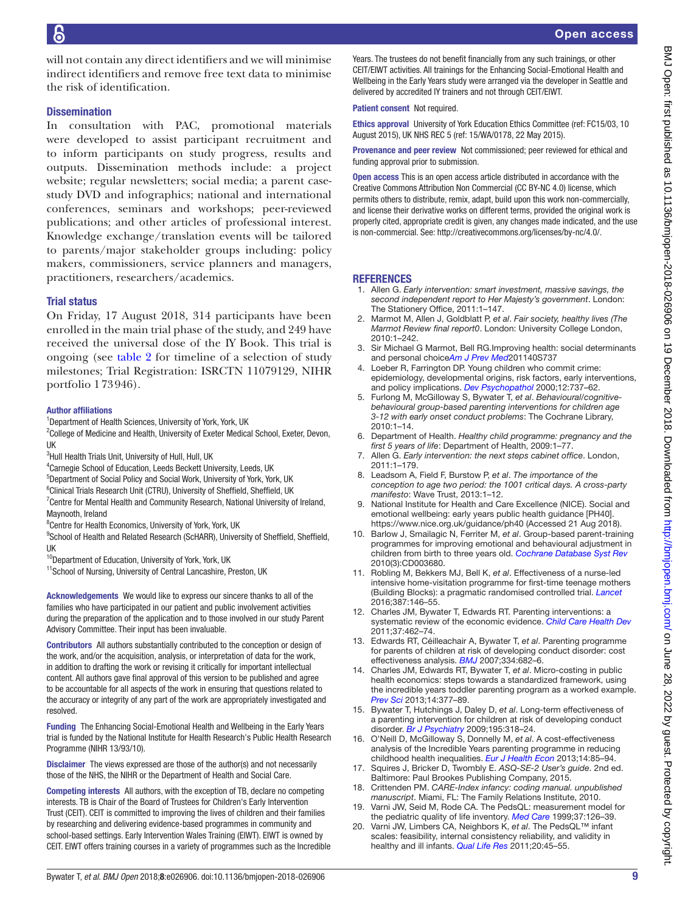will not contain any direct identifiers and we will minimise indirect identifiers and remove free text data to minimise the risk of identification.

#### **Dissemination**

In consultation with PAC, promotional materials were developed to assist participant recruitment and to inform participants on study progress, results and outputs. Dissemination methods include: a project website; regular newsletters; social media; a parent casestudy DVD and infographics; national and international conferences, seminars and workshops; peer-reviewed publications; and other articles of professional interest. Knowledge exchange/translation events will be tailored to parents/major stakeholder groups including: policy makers, commissioners, service planners and managers, practitioners, researchers/academics.

#### Trial status

On Friday, 17 August 2018, 314 participants have been enrolled in the main trial phase of the study, and 249 have received the universal dose of the IY Book. This trial is ongoing (see [table](#page-5-0) 2 for timeline of a selection of study milestones; Trial Registration: ISRCTN 11079129, NIHR portfolio 173946).

#### Author affiliations

<sup>1</sup>Department of Health Sciences, University of York, York, UK

<sup>2</sup>College of Medicine and Health, University of Exeter Medical School, Exeter, Devon, UK

<sup>3</sup>Hull Health Trials Unit, University of Hull, Hull, UK

4 Carnegie School of Education, Leeds Beckett University, Leeds, UK

5 Department of Social Policy and Social Work, University of York, York, UK

<sup>6</sup>Clinical Trials Research Unit (CTRU), University of Sheffield, Sheffield, UK

<sup>7</sup> Centre for Mental Health and Community Research, National University of Ireland, Maynooth, Ireland

<sup>8</sup>Centre for Health Economics, University of York, York, UK

<sup>9</sup>School of Health and Related Research (ScHARR), University of Sheffield, Sheffield, UK

<sup>10</sup>Department of Education, University of York, York, UK

<sup>11</sup>School of Nursing, University of Central Lancashire, Preston, UK

Acknowledgements We would like to express our sincere thanks to all of the families who have participated in our patient and public involvement activities during the preparation of the application and to those involved in our study Parent Advisory Committee. Their input has been invaluable.

Contributors All authors substantially contributed to the conception or design of the work, and/or the acquisition, analysis, or interpretation of data for the work, in addition to drafting the work or revising it critically for important intellectual content. All authors gave final approval of this version to be published and agree to be accountable for all aspects of the work in ensuring that questions related to the accuracy or integrity of any part of the work are appropriately investigated and resolved.

Funding The Enhancing Social-Emotional Health and Wellbeing in the Early Years trial is funded by the National Institute for Health Research's Public Health Research Programme (NIHR 13/93/10).

Disclaimer The views expressed are those of the author(s) and not necessarily those of the NHS, the NIHR or the Department of Health and Social Care.

Competing interests All authors, with the exception of TB, declare no competing interests. TB is Chair of the Board of Trustees for Children's Early Intervention Trust (CEIT). CEIT is committed to improving the lives of children and their families by researching and delivering evidence-based programmes in community and school-based settings. Early Intervention Wales Training (EIWT). EIWT is owned by CEIT. EIWT offers training courses in a variety of programmes such as the Incredible Years. The trustees do not benefit financially from any such trainings, or other CEIT/EIWT activities. All trainings for the Enhancing Social-Emotional Health and Wellbeing in the Early Years study were arranged via the developer in Seattle and delivered by accredited IY trainers and not through CEIT/EIWT.

Patient consent Not required.

Ethics approval University of York Education Ethics Committee (ref: FC15/03, 10 August 2015), UK NHS REC 5 (ref: 15/WA/0178, 22 May 2015).

Provenance and peer review Not commissioned; peer reviewed for ethical and funding approval prior to submission.

Open access This is an open access article distributed in accordance with the Creative Commons Attribution Non Commercial (CC BY-NC 4.0) license, which permits others to distribute, remix, adapt, build upon this work non-commercially, and license their derivative works on different terms, provided the original work is properly cited, appropriate credit is given, any changes made indicated, and the use is non-commercial. See: [http://creativecommons.org/licenses/by-nc/4.0/.](http://creativecommons.org/licenses/by-nc/4.0/)

#### **REFERENCES**

- <span id="page-8-0"></span>1. Allen G. *Early intervention: smart investment, massive savings, the second independent report to Her Majesty's government*. London: The Stationery Office, 2011:1–147.
- <span id="page-8-1"></span>2. Marmot M, Allen J, Goldblatt P, *et al*. *Fair society, healthy lives (The Marmot Review final report0*. London: University College London, 2010:1–242.
- 3. Sir Michael G Marmot, Bell RG.Improving health: social determinants and personal choice*[Am J Prev Med](http://dx.doi.org/10.1016/j.amepre.2010.10.010)*201140S737
- 4. Loeber R, Farrington DP. Young children who commit crime: epidemiology, developmental origins, risk factors, early interventions, and policy implications. *[Dev Psychopathol](http://dx.doi.org/10.1017/S0954579400004107)* 2000;12:737–62.
- <span id="page-8-4"></span>5. Furlong M, McGilloway S, Bywater T, *et al*. *Behavioural/cognitivebehavioural group-based parenting interventions for children age 3-12 with early onset conduct problems*: The Cochrane Library, 2010:1–14.
- <span id="page-8-2"></span>6. Department of Health. *Healthy child programme: pregnancy and the first 5 years of life*: Department of Health, 2009:1–77.
- 7. Allen G. *Early intervention: the next steps cabinet office*. London, 2011:1–179.
- 8. Leadsom A, Field F, Burstow P, *et al*. *The importance of the conception to age two period: the 1001 critical days. A cross-party manifesto*: Wave Trust, 2013:1–12.
- <span id="page-8-3"></span>9. National Institute for Health and Care Excellence (NICE). Social and emotional wellbeing: early years public health guidance [PH40]. <https://www.nice.org.uk/guidance/ph40>(Accessed 21 Aug 2018).
- <span id="page-8-5"></span>10. Barlow J, Smailagic N, Ferriter M, *et al*. Group-based parent-training programmes for improving emotional and behavioural adjustment in children from birth to three years old. *[Cochrane Database Syst Rev](http://dx.doi.org/10.1002/14651858.CD003680.pub2)* 2010(3):CD003680.
- <span id="page-8-6"></span>11. Robling M, Bekkers MJ, Bell K, *et al*. Effectiveness of a nurse-led intensive home-visitation programme for first-time teenage mothers (Building Blocks): a pragmatic randomised controlled trial. *[Lancet](http://dx.doi.org/10.1016/S0140-6736(15)00392-X)* 2016;387:146–55.
- <span id="page-8-7"></span>12. Charles JM, Bywater T, Edwards RT. Parenting interventions: a systematic review of the economic evidence. *[Child Care Health Dev](http://dx.doi.org/10.1111/j.1365-2214.2011.01217.x)* 2011;37:462–74.
- 13. Edwards RT, Céilleachair A, Bywater T, *et al*. Parenting programme for parents of children at risk of developing conduct disorder: cost effectiveness analysis. *[BMJ](http://dx.doi.org/10.1136/bmj.39126.699421.55)* 2007;334:682–6.
- 14. Charles JM, Edwards RT, Bywater T, *et al*. Micro-costing in public health economics: steps towards a standardized framework, using the incredible years toddler parenting program as a worked example. *[Prev Sci](http://dx.doi.org/10.1007/s11121-012-0302-5)* 2013;14:377–89.
- <span id="page-8-8"></span>15. Bywater T, Hutchings J, Daley D, *et al*. Long-term effectiveness of a parenting intervention for children at risk of developing conduct disorder. *[Br J Psychiatry](http://dx.doi.org/10.1192/bjp.bp.108.056531)* 2009;195:318–24.
- 16. O'Neill D, McGilloway S, Donnelly M, *et al*. A cost-effectiveness analysis of the Incredible Years parenting programme in reducing childhood health inequalities. *[Eur J Health Econ](http://dx.doi.org/10.1007/s10198-011-0342-y)* 2013;14:85–94.
- <span id="page-8-9"></span>17. Squires J, Bricker D, Twombly E. *ASQ-SE-2 User's guide*. 2nd ed. Baltimore: Paul Brookes Publishing Company, 2015.
- <span id="page-8-10"></span>18. Crittenden PM. *CARE-Index infancy: coding manual. unpublished manuscript*. Miami, FL: The Family Relations Institute, 2010.
- <span id="page-8-11"></span>19. Varni JW, Seid M, Rode CA. The PedsQL: measurement model for the pediatric quality of life inventory. *[Med Care](http://dx.doi.org/10.1097/00005650-199902000-00003)* 1999;37:126–39.
- <span id="page-8-12"></span>20. Varni JW, Limbers CA, Neighbors K, *et al*. The PedsQL™ infant scales: feasibility, internal consistency reliability, and validity in healthy and ill infants. *[Qual Life Res](http://dx.doi.org/10.1007/s11136-010-9730-5)* 2011;20:45–55.